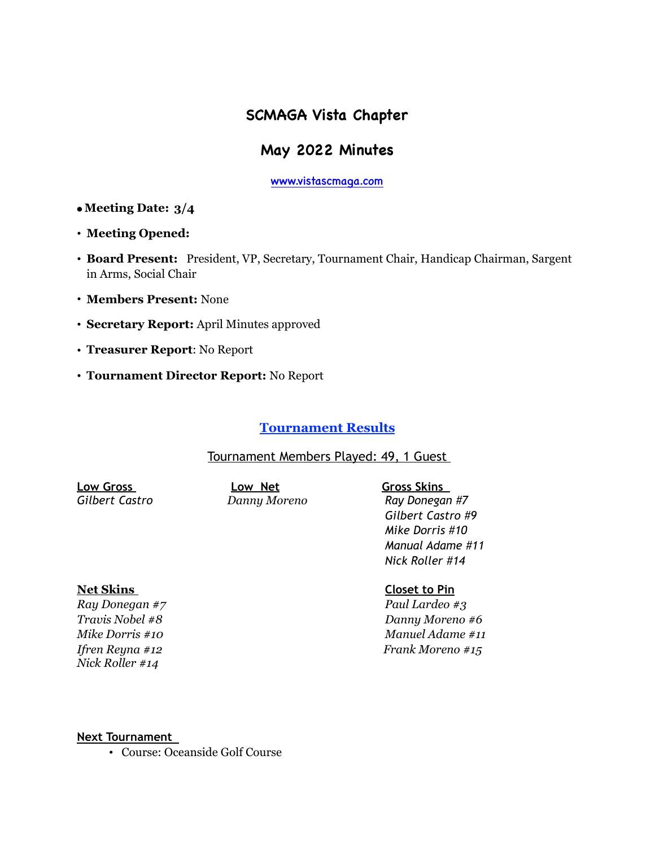# **SCMAGA Vista Chapter**

# **May 2022 Minutes**

[www.vistascmaga.com](http://www.vistascmaga.com)

- **Meeting Date: 3/4**
- **Meeting Opened:**
- **Board Present:** President, VP, Secretary, Tournament Chair, Handicap Chairman, Sargent in Arms, Social Chair
- **Members Present:** None
- **Secretary Report:** April Minutes approved
- **Treasurer Report**: No Report
- **Tournament Director Report:** No Report

# **Tournament Results**

# Tournament Members Played: 49, 1 Guest

**Low Gross Low Net Gross Skins** 

*Gilbert Castro Danny Moreno Ray Donegan #7 Gilbert Castro #9 Mike Dorris #10 Manual Adame #11 Nick Roller #14* 

*Nick Roller #14* 

**Net Skins Closet to Pin**

*Ray Donegan #7 Paul Lardeo #3 Travis Nobel #8 Danny Moreno #6 Mike Dorris #10 Manuel Adame #11 Ifren Reyna #12 Frank Moreno #15* 

#### **Next Tournament**

• Course: Oceanside Golf Course